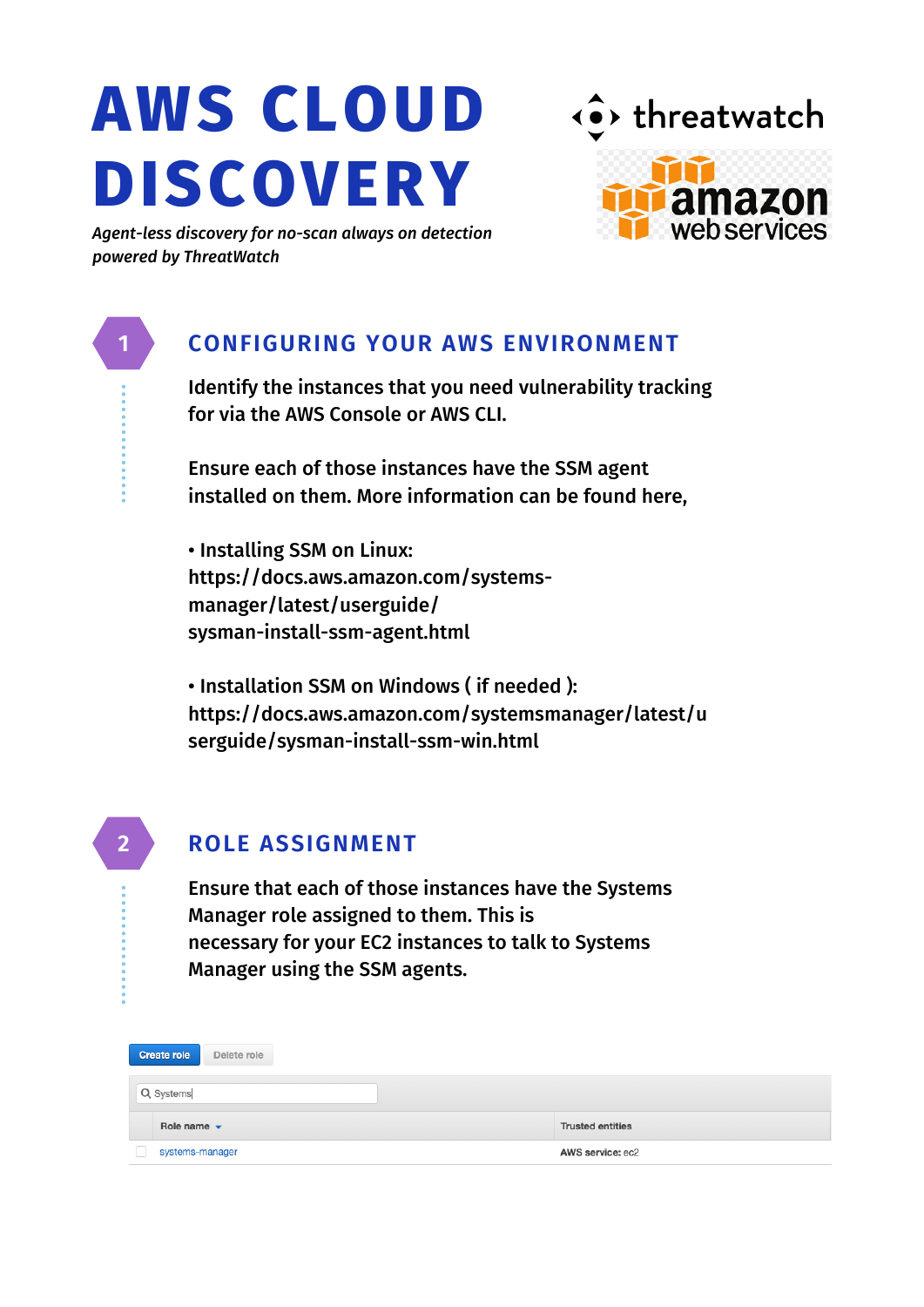# **AWS CLOUD DISCOVERY**



*Agent-less discovery for no-scan always on detection powered by ThreatWatch*

# **1 CONFIGURING YOUR AWS ENVIRONMENT**

Identify the instances that you need vulnerability tracking for via the AWS Console or AWS CLI.

Ensure each of those instances have the SSM agent installed on them. More information can be found here,

• Installing SSM on Linux: https://docs.aws.amazon.com/systemsmanager/latest/userguide/ sysman-install-ssm-agent.html

• Installation SSM on Windows ( if needed ): https://docs.aws.amazon.com/systemsmanager/latest/u serguide/sysman-install-ssm-win.html

**ROLE ASSIGNMENT**

**2**

Ensure that each of those instances have the Systems Manager role assigned to them. This is necessary for your EC2 instances to talk to Systems Manager using the SSM agents.

| <b>Create role</b><br>Delete role |                         |
|-----------------------------------|-------------------------|
| Q Systems                         |                         |
| Role name $\blacktriangleright$   | <b>Trusted entities</b> |
| systems-manager                   | AWS service: ec2        |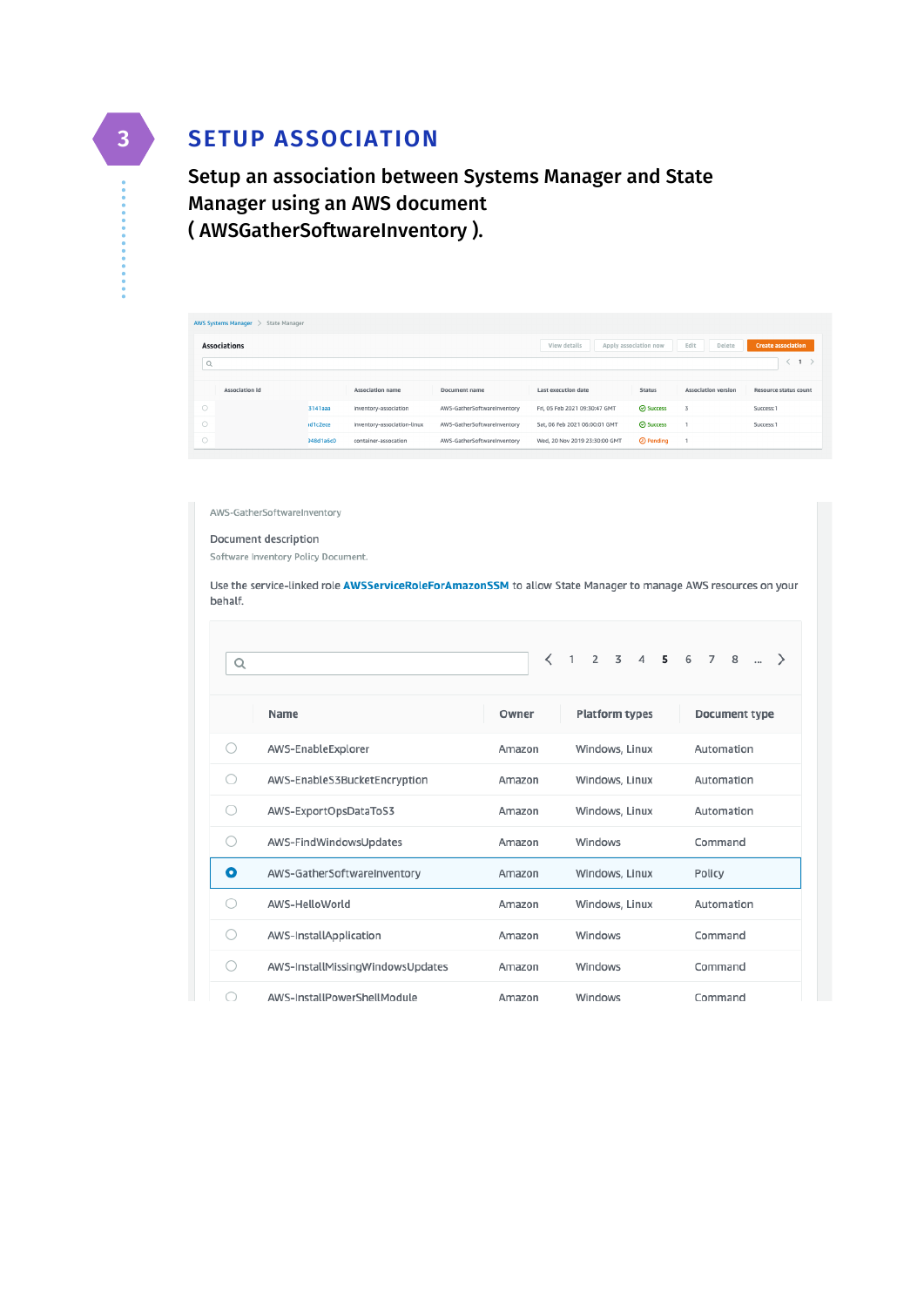# **3 SETUP ASSOCIATION**

Setup an association between Systems Manager and State Manager using an AWS document ( AWSGatherSoftwareInventory ).

| <b>AWS Systems Manager</b><br>State Manager |                     |                  |                             |                             |                               |                       |                            |                           |  |
|---------------------------------------------|---------------------|------------------|-----------------------------|-----------------------------|-------------------------------|-----------------------|----------------------------|---------------------------|--|
|                                             | <b>Associations</b> |                  |                             |                             | View details                  | Apply association now | Edit<br>Delete             | <b>Create association</b> |  |
| $\alpha$                                    |                     |                  |                             |                             |                               |                       |                            | 1                         |  |
|                                             | Association id      |                  | <b>Association name</b>     | <b>Document name</b>        | Last execution date           | <b>Status</b>         | <b>Association version</b> | Resource status count     |  |
| $\circ$                                     |                     | 3141aaa          | inventory-association       | AWS-GatherSoftwareInventory | Fri, 05 Feb 2021 09:30:47 GMT | <b>⊘</b> Success      | $\overline{3}$             | Success:1                 |  |
| $\circ$                                     |                     | id1c2ece         | inventory-association-linux | AWS-GatherSoftwareInventory | Sat, 06 Feb 2021 06:00:01 GMT | <b>⊘</b> Success      |                            | Success:1                 |  |
| $\circ$                                     |                     | <b>348d1a6c0</b> | container-assocation        | AWS-GatherSoftwareInventory | Wed, 20 Nov 2019 23:30:00 GMT | <b>A</b> Pending      |                            |                           |  |

#### AWS-GatherSoftwareInventory

Document description

Software Inventory Policy Document.

Use the service-linked role AWSServiceRoleForAmazonSSM to allow State Manager to manage AWS resources on your behalf.

| Q   |                                  |        |                       | $\rightarrow$ |
|-----|----------------------------------|--------|-----------------------|---------------|
|     | Name                             | Owner  | <b>Platform types</b> | Document type |
|     | AWS-EnableExplorer               | Amazon | Windows, Linux        | Automation    |
|     | AWS-EnableS3BucketEncryption     | Amazon | Windows, Linux        | Automation    |
|     | AWS-ExportOpsDataToS3            | Amazon | Windows, Linux        | Automation    |
| . . | AWS-FindWindowsUpdates           | Amazon | Windows               | Command       |
| ٥   | AWS-GatherSoftwareInventory      | Amazon | Windows, Linux        | Policy        |
|     | AWS-HelloWorld                   | Amazon | Windows, Linux        | Automation    |
|     | AWS-InstallApplication           | Amazon | Windows               | Command       |
|     | AWS-InstallMissingWindowsUpdates | Amazon | Windows               | Command       |
|     | AWS-InstallPowerShellModule      | Amazon | Windows               | Command       |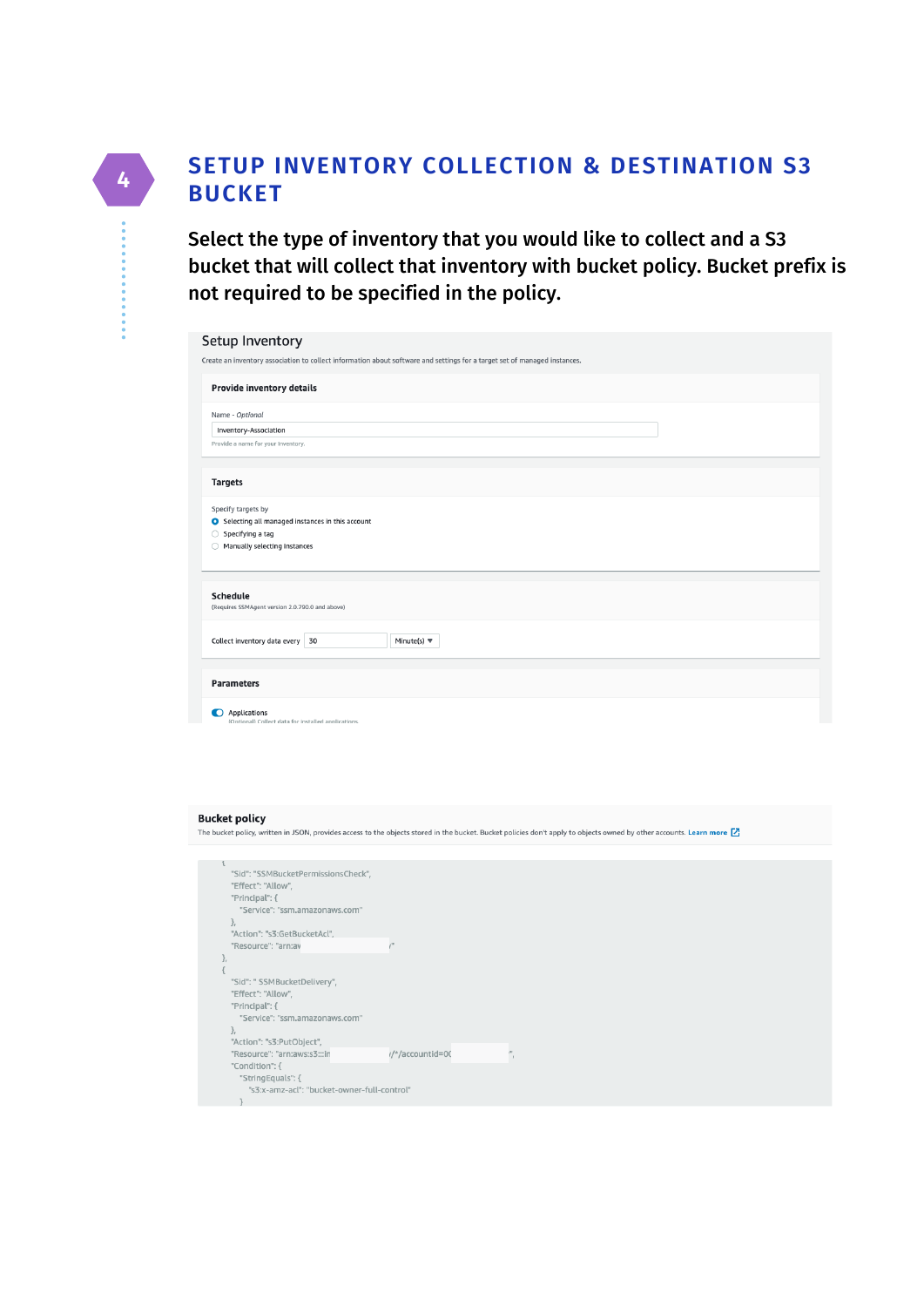## **SETUP INVENTORY COLLECTION & DESTINATION S3 BUCKET**

Select the type of inventory that you would like to collect and a S3 bucket that will collect that inventory with bucket policy. Bucket prefix is not required to be specified in the policy.

| Create an inventory association to collect information about software and settings for a target set of managed instances.<br>Provide inventory details<br>Name - Optional<br>Inventory-Association<br>Provide a name for your Inventory.<br><b>Targets</b><br>Specify targets by<br>Selecting all managed instances in this account<br>$\bigcirc$ Specifying a tag<br>◯ Manually selecting instances<br><b>Schedule</b><br>(Requires SSMAgent version 2.0.790.0 and above) |
|----------------------------------------------------------------------------------------------------------------------------------------------------------------------------------------------------------------------------------------------------------------------------------------------------------------------------------------------------------------------------------------------------------------------------------------------------------------------------|
|                                                                                                                                                                                                                                                                                                                                                                                                                                                                            |
|                                                                                                                                                                                                                                                                                                                                                                                                                                                                            |
|                                                                                                                                                                                                                                                                                                                                                                                                                                                                            |
|                                                                                                                                                                                                                                                                                                                                                                                                                                                                            |
|                                                                                                                                                                                                                                                                                                                                                                                                                                                                            |
|                                                                                                                                                                                                                                                                                                                                                                                                                                                                            |
|                                                                                                                                                                                                                                                                                                                                                                                                                                                                            |
|                                                                                                                                                                                                                                                                                                                                                                                                                                                                            |
|                                                                                                                                                                                                                                                                                                                                                                                                                                                                            |
|                                                                                                                                                                                                                                                                                                                                                                                                                                                                            |
|                                                                                                                                                                                                                                                                                                                                                                                                                                                                            |
|                                                                                                                                                                                                                                                                                                                                                                                                                                                                            |
|                                                                                                                                                                                                                                                                                                                                                                                                                                                                            |
|                                                                                                                                                                                                                                                                                                                                                                                                                                                                            |
|                                                                                                                                                                                                                                                                                                                                                                                                                                                                            |
| Collect inventory data every 30<br>Minute(s) $\overline{\mathbf{v}}$                                                                                                                                                                                                                                                                                                                                                                                                       |
|                                                                                                                                                                                                                                                                                                                                                                                                                                                                            |
|                                                                                                                                                                                                                                                                                                                                                                                                                                                                            |
| <b>Parameters</b>                                                                                                                                                                                                                                                                                                                                                                                                                                                          |
|                                                                                                                                                                                                                                                                                                                                                                                                                                                                            |
| Applications<br>(Optional) Collect data for installed applications.                                                                                                                                                                                                                                                                                                                                                                                                        |

#### **Bucket policy**

The bucket policy, written in JSON, provides access to the objects stored in the bucket. Bucket policies don't apply to objects owned by other accounts. Learn more  $[\mathbb{Z}]$ 

|    | "Sid": "SSMBucketPermissionsCheck",         |                 |  |
|----|---------------------------------------------|-----------------|--|
|    | "Effect": "Allow",                          |                 |  |
|    | "Principal": {                              |                 |  |
|    | "Service": "ssm.amazonaws.com"              |                 |  |
|    | λ.                                          |                 |  |
|    | "Action": "s3:GetBucketAcl",                |                 |  |
|    | "Resource": "arn:ay                         | $\lambda$       |  |
| Ъ, |                                             |                 |  |
|    |                                             |                 |  |
|    | "Sid": " SSMBucketDelivery",                |                 |  |
|    |                                             |                 |  |
|    | "Effect": "Allow",                          |                 |  |
|    | "Principal": {                              |                 |  |
|    | "Service": "ssm.amazonaws.com"              |                 |  |
|    | },                                          |                 |  |
|    | "Action": "s3:PutObject",                   |                 |  |
|    | "Resource": "arn:aws:s3:::in                | /*/accountid=00 |  |
|    | "Condition": {                              |                 |  |
|    | "StringEquals": {                           |                 |  |
|    | "s3:x-amz-acl": "bucket-owner-full-control" |                 |  |
|    |                                             |                 |  |
|    |                                             |                 |  |

**4**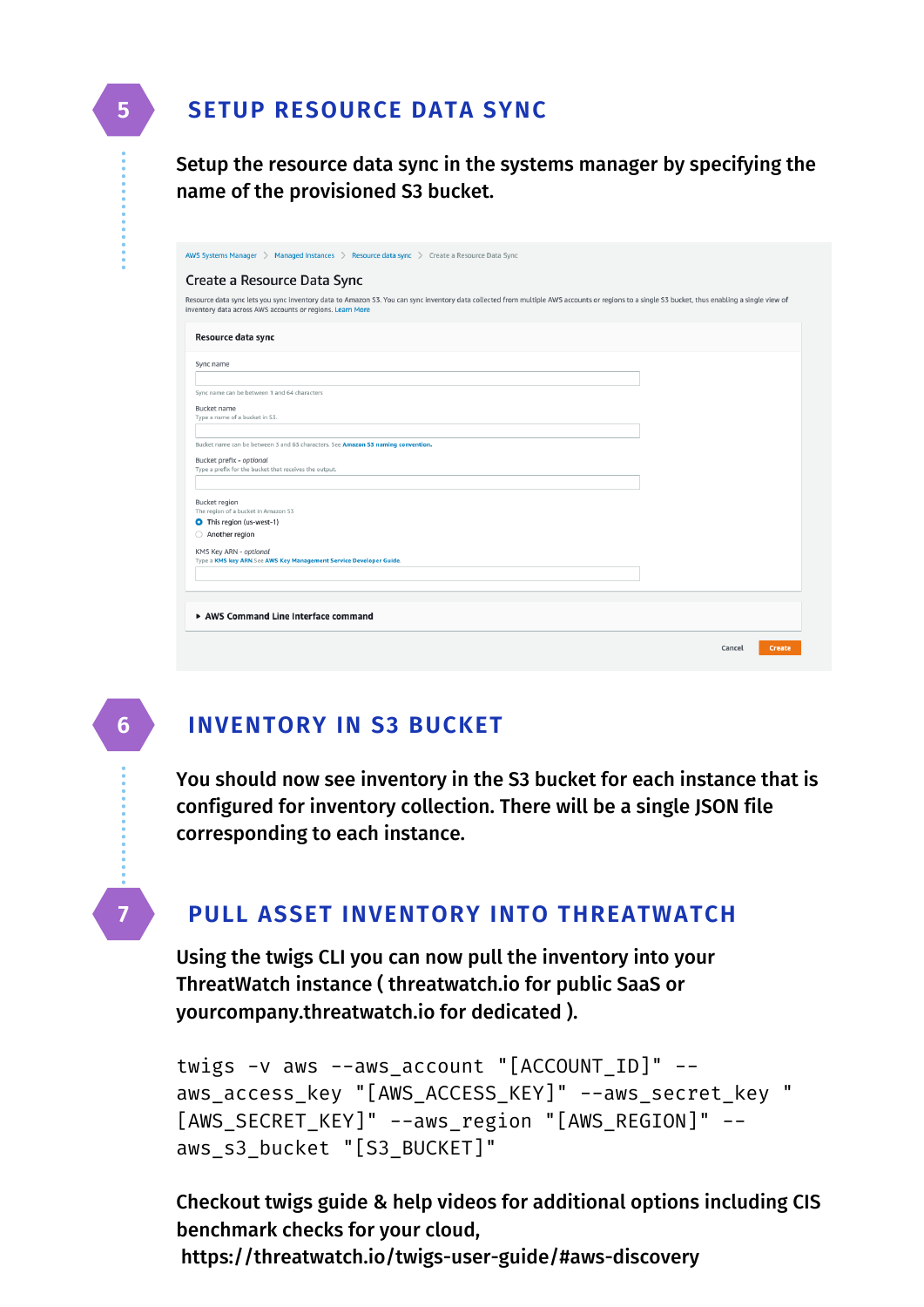## **5 SETUP RESOURCE DATA SYNC**

Setup the resource data sync in the systems manager by specifying the name of the provisioned S3 bucket.

|                                                                                    | inventory data across AWS accounts or regions. Learn More                        | Resource data sync lets you sync inventory data to Amazon S3. You can sync inventory data collected from multiple AWS accounts or regions to a single S3 bucket, thus enabling a single view of |
|------------------------------------------------------------------------------------|----------------------------------------------------------------------------------|-------------------------------------------------------------------------------------------------------------------------------------------------------------------------------------------------|
| Resource data sync                                                                 |                                                                                  |                                                                                                                                                                                                 |
| Sync name                                                                          |                                                                                  |                                                                                                                                                                                                 |
|                                                                                    |                                                                                  |                                                                                                                                                                                                 |
| Sync name can be between 1 and 64 characters                                       |                                                                                  |                                                                                                                                                                                                 |
| <b>Bucket name</b><br>Type a name of a bucket in S3.                               |                                                                                  |                                                                                                                                                                                                 |
| Bucket prefix - optional<br>Type a prefix for the bucket that receives the output. | Bucket name can be between 3 and 63 characters. See Amazon S3 naming convention. |                                                                                                                                                                                                 |
| Bucket region<br>The region of a bucket in Amazon S3                               |                                                                                  |                                                                                                                                                                                                 |
| <b>O</b> This region (us-west-1)                                                   |                                                                                  |                                                                                                                                                                                                 |
| ○ Another region                                                                   |                                                                                  |                                                                                                                                                                                                 |
| KMS Key ARN - optional                                                             | Type a KMS key ARN.See AWS Key Management Service Developer Guide.               |                                                                                                                                                                                                 |
|                                                                                    |                                                                                  |                                                                                                                                                                                                 |

**6**

**7**

# **INVENTORY IN S3 BUCKET**

You should now see inventory in the S3 bucket for each instance that is configured for inventory collection. There will be a single JSON file corresponding to each instance.

## **PULL ASSET INVENTORY INTO THREATWATCH**

Using the twigs CLI you can now pull the inventory into your ThreatWatch instance ( threatwatch.io for public SaaS or yourcompany.threatwatch.io for dedicated ).

```
twigs -v aws --aws_account "[ACCOUNT_ID]" --
aws access key "[AWS ACCESS KEY]" --aws secret key "
[AWS_SECRET_KEY]" --aws_region "[AWS_REGION]" --
aws_s3_bucket "[S3_BUCKET]"
```
Checkout twigs guide & help videos for additional options including CIS benchmark checks for your cloud, https://threatwatch.io/twigs-user-guide/#aws-discovery